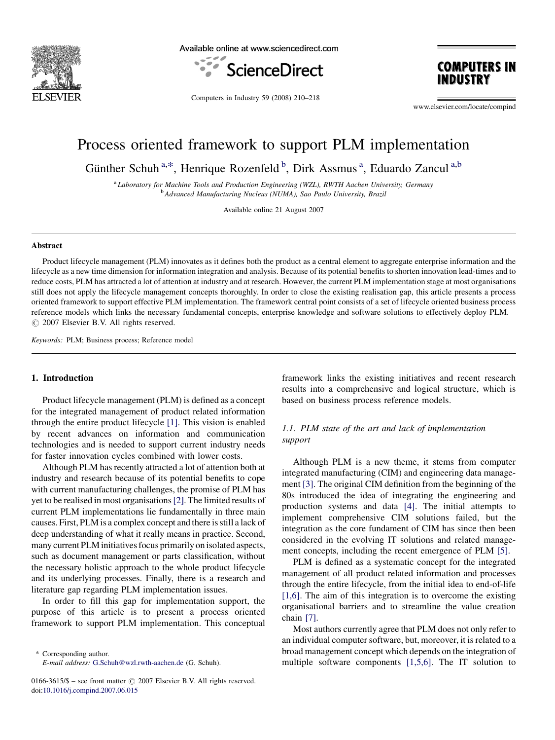<span id="page-0-0"></span>

Available online at www.sciencedirect.com



Computers in Industry 59 (2008) 210–218

**NDUSTRY** 

**COMPUTERS IN** 

www.elsevier.com/locate/compind

# Process oriented framework to support PLM implementation

Günther Schuh<sup>a,\*</sup>, Henrique Rozenfeld<sup>b</sup>, Dirk Assmus<sup>a</sup>, Eduardo Zancul<sup>a,b</sup>

<sup>a</sup> Laboratory for Machine Tools and Production Engineering (WZL), RWTH Aachen University, Germany <sup>b</sup> Advanced Manufacturing Nucleus (NUMA), Sao Paulo University, Brazil

Available online 21 August 2007

# Abstract

Product lifecycle management (PLM) innovates as it defines both the product as a central element to aggregate enterprise information and the lifecycle as a new time dimension for information integration and analysis. Because of its potential benefits to shorten innovation lead-times and to reduce costs, PLM has attracted a lot of attention at industry and at research. However, the current PLM implementation stage at most organisations still does not apply the lifecycle management concepts thoroughly. In order to close the existing realisation gap, this article presents a process oriented framework to support effective PLM implementation. The framework central point consists of a set of lifecycle oriented business process reference models which links the necessary fundamental concepts, enterprise knowledge and software solutions to effectively deploy PLM.  $\odot$  2007 Elsevier B.V. All rights reserved.

Keywords: PLM; Business process; Reference model

# 1. Introduction

Product lifecycle management (PLM) is defined as a concept for the integrated management of product related information through the entire product lifecycle [\[1\].](#page-7-0) This vision is enabled by recent advances on information and communication technologies and is needed to support current industry needs for faster innovation cycles combined with lower costs.

Although PLM has recently attracted a lot of attention both at industry and research because of its potential benefits to cope with current manufacturing challenges, the promise of PLM has yet to be realised in most organisations[\[2\]](#page-7-0). The limited results of current PLM implementations lie fundamentally in three main causes. First, PLM is a complex concept and there is still a lack of deep understanding of what it really means in practice. Second, many current PLM initiatives focus primarily on isolated aspects, such as document management or parts classification, without the necessary holistic approach to the whole product lifecycle and its underlying processes. Finally, there is a research and literature gap regarding PLM implementation issues.

In order to fill this gap for implementation support, the purpose of this article is to present a process oriented framework to support PLM implementation. This conceptual

\* Corresponding author. E-mail address: [G.Schuh@wzl.rwth-aachen.de](mailto:G.Schuh@wzl.rwth-aachen.de) (G. Schuh). framework links the existing initiatives and recent research results into a comprehensive and logical structure, which is based on business process reference models.

# 1.1. PLM state of the art and lack of implementation support

Although PLM is a new theme, it stems from computer integrated manufacturing (CIM) and engineering data management [\[3\]](#page-7-0). The original CIM definition from the beginning of the 80s introduced the idea of integrating the engineering and production systems and data [\[4\]](#page-7-0). The initial attempts to implement comprehensive CIM solutions failed, but the integration as the core fundament of CIM has since then been considered in the evolving IT solutions and related management concepts, including the recent emergence of PLM [\[5\]](#page-7-0).

PLM is defined as a systematic concept for the integrated management of all product related information and processes through the entire lifecycle, from the initial idea to end-of-life [\[1,6\].](#page-7-0) The aim of this integration is to overcome the existing organisational barriers and to streamline the value creation chain [\[7\]](#page-7-0).

Most authors currently agree that PLM does not only refer to an individual computer software, but, moreover, it is related to a broad management concept which depends on the integration of multiple software components [\[1,5,6\].](#page-7-0) The IT solution to

<sup>0166-3615/\$ –</sup> see front matter  $\odot$  2007 Elsevier B.V. All rights reserved. doi[:10.1016/j.compind.2007.06.015](http://dx.doi.org/10.1016/j.compind.2007.06.015)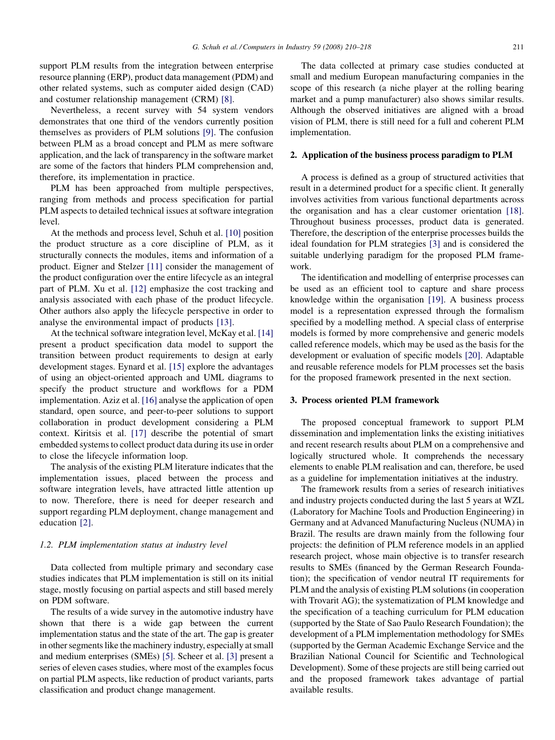support PLM results from the integration between enterprise resource planning (ERP), product data management (PDM) and other related systems, such as computer aided design (CAD) and costumer relationship management (CRM) [\[8\]](#page-7-0).

Nevertheless, a recent survey with 54 system vendors demonstrates that one third of the vendors currently position themselves as providers of PLM solutions [\[9\]](#page-7-0). The confusion between PLM as a broad concept and PLM as mere software application, and the lack of transparency in the software market are some of the factors that hinders PLM comprehension and, therefore, its implementation in practice.

PLM has been approached from multiple perspectives, ranging from methods and process specification for partial PLM aspects to detailed technical issues at software integration level.

At the methods and process level, Schuh et al. [\[10\]](#page-7-0) position the product structure as a core discipline of PLM, as it structurally connects the modules, items and information of a product. Eigner and Stelzer [\[11\]](#page-7-0) consider the management of the product configuration over the entire lifecycle as an integral part of PLM. Xu et al. [\[12\]](#page-7-0) emphasize the cost tracking and analysis associated with each phase of the product lifecycle. Other authors also apply the lifecycle perspective in order to analyse the environmental impact of products [\[13\]](#page-7-0).

At the technical software integration level, McKay et al. [\[14\]](#page-7-0) present a product specification data model to support the transition between product requirements to design at early development stages. Eynard et al. [\[15\]](#page-7-0) explore the advantages of using an object-oriented approach and UML diagrams to specify the product structure and workflows for a PDM implementation. Aziz et al. [\[16\]](#page-7-0) analyse the application of open standard, open source, and peer-to-peer solutions to support collaboration in product development considering a PLM context. Kiritsis et al. [\[17\]](#page-7-0) describe the potential of smart embedded systems to collect product data during its use in order to close the lifecycle information loop.

The analysis of the existing PLM literature indicates that the implementation issues, placed between the process and software integration levels, have attracted little attention up to now. Therefore, there is need for deeper research and support regarding PLM deployment, change management and education [\[2\].](#page-7-0)

# 1.2. PLM implementation status at industry level

Data collected from multiple primary and secondary case studies indicates that PLM implementation is still on its initial stage, mostly focusing on partial aspects and still based merely on PDM software.

The results of a wide survey in the automotive industry have shown that there is a wide gap between the current implementation status and the state of the art. The gap is greater in other segments like the machinery industry, especially at small and medium enterprises (SMEs) [\[5\].](#page-7-0) Scheer et al. [\[3\]](#page-7-0) present a series of eleven cases studies, where most of the examples focus on partial PLM aspects, like reduction of product variants, parts classification and product change management.

The data collected at primary case studies conducted at small and medium European manufacturing companies in the scope of this research (a niche player at the rolling bearing market and a pump manufacturer) also shows similar results. Although the observed initiatives are aligned with a broad vision of PLM, there is still need for a full and coherent PLM implementation.

#### 2. Application of the business process paradigm to PLM

A process is defined as a group of structured activities that result in a determined product for a specific client. It generally involves activities from various functional departments across the organisation and has a clear customer orientation [\[18\]](#page-7-0). Throughout business processes, product data is generated. Therefore, the description of the enterprise processes builds the ideal foundation for PLM strategies [\[3\]](#page-7-0) and is considered the suitable underlying paradigm for the proposed PLM framework.

The identification and modelling of enterprise processes can be used as an efficient tool to capture and share process knowledge within the organisation [\[19\]](#page-7-0). A business process model is a representation expressed through the formalism specified by a modelling method. A special class of enterprise models is formed by more comprehensive and generic models called reference models, which may be used as the basis for the development or evaluation of specific models [\[20\].](#page-7-0) Adaptable and reusable reference models for PLM processes set the basis for the proposed framework presented in the next section.

# 3. Process oriented PLM framework

The proposed conceptual framework to support PLM dissemination and implementation links the existing initiatives and recent research results about PLM on a comprehensive and logically structured whole. It comprehends the necessary elements to enable PLM realisation and can, therefore, be used as a guideline for implementation initiatives at the industry.

The framework results from a series of research initiatives and industry projects conducted during the last 5 years at WZL (Laboratory for Machine Tools and Production Engineering) in Germany and at Advanced Manufacturing Nucleus (NUMA) in Brazil. The results are drawn mainly from the following four projects: the definition of PLM reference models in an applied research project, whose main objective is to transfer research results to SMEs (financed by the German Research Foundation); the specification of vendor neutral IT requirements for PLM and the analysis of existing PLM solutions (in cooperation with Trovarit AG); the systematization of PLM knowledge and the specification of a teaching curriculum for PLM education (supported by the State of Sao Paulo Research Foundation); the development of a PLM implementation methodology for SMEs (supported by the German Academic Exchange Service and the Brazilian National Council for Scientific and Technological Development). Some of these projects are still being carried out and the proposed framework takes advantage of partial available results.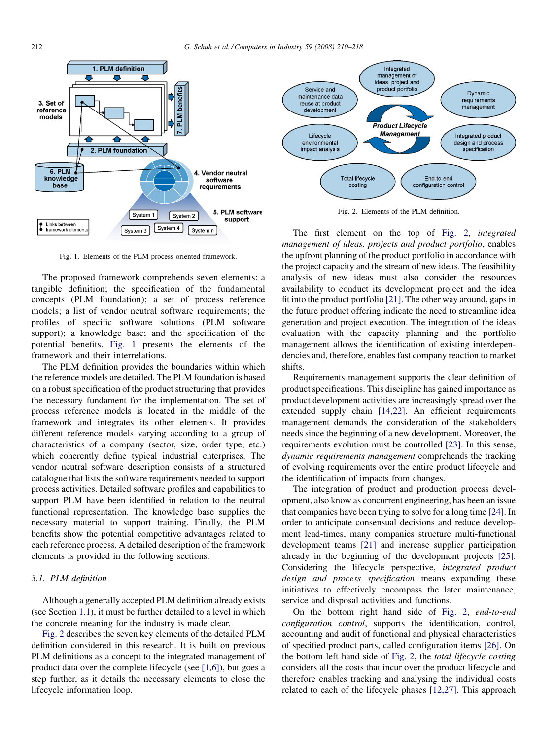<span id="page-2-0"></span>

Fig. 1. Elements of the PLM process oriented framework.

The proposed framework comprehends seven elements: a tangible definition; the specification of the fundamental concepts (PLM foundation); a set of process reference models; a list of vendor neutral software requirements; the profiles of specific software solutions (PLM software support); a knowledge base; and the specification of the potential benefits. Fig. 1 presents the elements of the framework and their interrelations.

The PLM definition provides the boundaries within which the reference models are detailed. The PLM foundation is based on a robust specification of the product structuring that provides the necessary fundament for the implementation. The set of process reference models is located in the middle of the framework and integrates its other elements. It provides different reference models varying according to a group of characteristics of a company (sector, size, order type, etc.) which coherently define typical industrial enterprises. The vendor neutral software description consists of a structured catalogue that lists the software requirements needed to support process activities. Detailed software profiles and capabilities to support PLM have been identified in relation to the neutral functional representation. The knowledge base supplies the necessary material to support training. Finally, the PLM benefits show the potential competitive advantages related to each reference process. A detailed description of the framework elements is provided in the following sections.

#### 3.1. PLM definition

Although a generally accepted PLM definition already exists (see Section [1.1](#page-0-0)), it must be further detailed to a level in which the concrete meaning for the industry is made clear.

Fig. 2 describes the seven key elements of the detailed PLM definition considered in this research. It is built on previous PLM definitions as a concept to the integrated management of product data over the complete lifecycle (see [\[1,6\]\)](#page-7-0), but goes a step further, as it details the necessary elements to close the lifecycle information loop.



Fig. 2. Elements of the PLM definition.

The first element on the top of Fig. 2, integrated management of ideas, projects and product portfolio, enables the upfront planning of the product portfolio in accordance with the project capacity and the stream of new ideas. The feasibility analysis of new ideas must also consider the resources availability to conduct its development project and the idea fit into the product portfolio [\[21\].](#page-7-0) The other way around, gaps in the future product offering indicate the need to streamline idea generation and project execution. The integration of the ideas evaluation with the capacity planning and the portfolio management allows the identification of existing interdependencies and, therefore, enables fast company reaction to market shifts.

Requirements management supports the clear definition of product specifications. This discipline has gained importance as product development activities are increasingly spread over the extended supply chain [\[14,22\]](#page-7-0). An efficient requirements management demands the consideration of the stakeholders needs since the beginning of a new development. Moreover, the requirements evolution must be controlled [\[23\].](#page-7-0) In this sense, dynamic requirements management comprehends the tracking of evolving requirements over the entire product lifecycle and the identification of impacts from changes.

The integration of product and production process development, also know as concurrent engineering, has been an issue that companies have been trying to solve for a long time [\[24\].](#page-7-0) In order to anticipate consensual decisions and reduce development lead-times, many companies structure multi-functional development teams [\[21\]](#page-7-0) and increase supplier participation already in the beginning of the development projects [\[25\]](#page-7-0). Considering the lifecycle perspective, integrated product design and process specification means expanding these initiatives to effectively encompass the later maintenance, service and disposal activities and functions.

On the bottom right hand side of Fig. 2, end-to-end configuration control, supports the identification, control, accounting and audit of functional and physical characteristics of specified product parts, called configuration items [\[26\]](#page-7-0). On the bottom left hand side of Fig. 2, the total lifecycle costing considers all the costs that incur over the product lifecycle and therefore enables tracking and analysing the individual costs related to each of the lifecycle phases [\[12,27\]](#page-7-0). This approach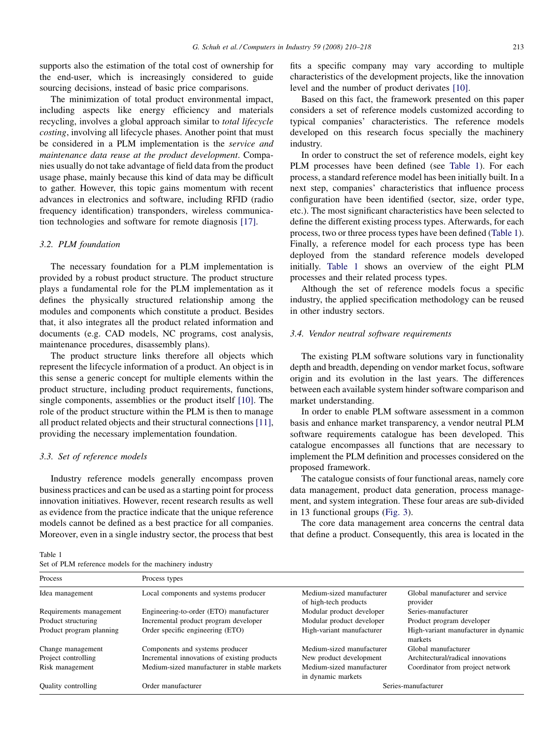<span id="page-3-0"></span>supports also the estimation of the total cost of ownership for the end-user, which is increasingly considered to guide sourcing decisions, instead of basic price comparisons.

The minimization of total product environmental impact, including aspects like energy efficiency and materials recycling, involves a global approach similar to total lifecycle costing, involving all lifecycle phases. Another point that must be considered in a PLM implementation is the service and maintenance data reuse at the product development. Companies usually do not take advantage of field data from the product usage phase, mainly because this kind of data may be difficult to gather. However, this topic gains momentum with recent advances in electronics and software, including RFID (radio frequency identification) transponders, wireless communication technologies and software for remote diagnosis [\[17\].](#page-7-0)

#### 3.2. PLM foundation

The necessary foundation for a PLM implementation is provided by a robust product structure. The product structure plays a fundamental role for the PLM implementation as it defines the physically structured relationship among the modules and components which constitute a product. Besides that, it also integrates all the product related information and documents (e.g. CAD models, NC programs, cost analysis, maintenance procedures, disassembly plans).

The product structure links therefore all objects which represent the lifecycle information of a product. An object is in this sense a generic concept for multiple elements within the product structure, including product requirements, functions, single components, assemblies or the product itself [\[10\]](#page-7-0). The role of the product structure within the PLM is then to manage all product related objects and their structural connections [\[11\]](#page-7-0), providing the necessary implementation foundation.

# 3.3. Set of reference models

Industry reference models generally encompass proven business practices and can be used as a starting point for process innovation initiatives. However, recent research results as well as evidence from the practice indicate that the unique reference models cannot be defined as a best practice for all companies. Moreover, even in a single industry sector, the process that best fits a specific company may vary according to multiple characteristics of the development projects, like the innovation level and the number of product derivates [\[10\].](#page-7-0)

Based on this fact, the framework presented on this paper considers a set of reference models customized according to typical companies' characteristics. The reference models developed on this research focus specially the machinery industry.

In order to construct the set of reference models, eight key PLM processes have been defined (see Table 1). For each process, a standard reference model has been initially built. In a next step, companies' characteristics that influence process configuration have been identified (sector, size, order type, etc.). The most significant characteristics have been selected to define the different existing process types. Afterwards, for each process, two or three process types have been defined (Table 1). Finally, a reference model for each process type has been deployed from the standard reference models developed initially. Table 1 shows an overview of the eight PLM processes and their related process types.

Although the set of reference models focus a specific industry, the applied specification methodology can be reused in other industry sectors.

#### 3.4. Vendor neutral software requirements

The existing PLM software solutions vary in functionality depth and breadth, depending on vendor market focus, software origin and its evolution in the last years. The differences between each available system hinder software comparison and market understanding.

In order to enable PLM software assessment in a common basis and enhance market transparency, a vendor neutral PLM software requirements catalogue has been developed. This catalogue encompasses all functions that are necessary to implement the PLM definition and processes considered on the proposed framework.

The catalogue consists of four functional areas, namely core data management, product data generation, process management, and system integration. These four areas are sub-divided in 13 functional groups ([Fig. 3\)](#page-4-0).

The core data management area concerns the central data that define a product. Consequently, this area is located in the

Table 1 Set of PLM reference models for the machinery industry

| $\sigma$ of them reference inourch for the machinery industry |                                              |                                                    |                                                 |  |
|---------------------------------------------------------------|----------------------------------------------|----------------------------------------------------|-------------------------------------------------|--|
| Process                                                       | Process types                                |                                                    |                                                 |  |
| Idea management                                               | Local components and systems producer        | Medium-sized manufacturer<br>of high-tech products | Global manufacturer and service<br>provider     |  |
| Requirements management                                       | Engineering-to-order (ETO) manufacturer      | Modular product developer                          | Series-manufacturer                             |  |
| Product structuring                                           | Incremental product program developer        | Modular product developer                          | Product program developer                       |  |
| Product program planning                                      | Order specific engineering (ETO)             | High-variant manufacturer                          | High-variant manufacturer in dynamic<br>markets |  |
| Change management                                             | Components and systems producer              | Medium-sized manufacturer                          | Global manufacturer                             |  |
| Project controlling                                           | Incremental innovations of existing products | New product development                            | Architectural/radical innovations               |  |
| Risk management                                               | Medium-sized manufacturer in stable markets  | Medium-sized manufacturer<br>in dynamic markets    | Coordinator from project network                |  |
| <b>Ouality controlling</b>                                    | Order manufacturer                           | Series-manufacturer                                |                                                 |  |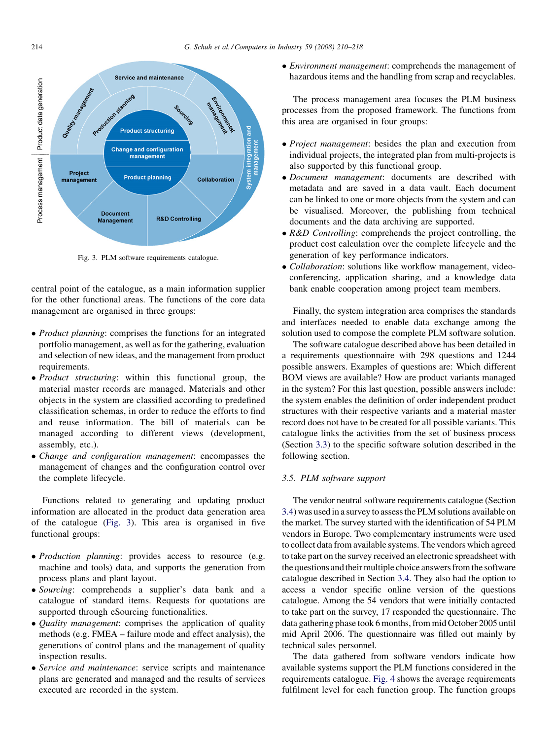<span id="page-4-0"></span>

Fig. 3. PLM software requirements catalogue.

central point of the catalogue, as a main information supplier for the other functional areas. The functions of the core data management are organised in three groups:

- Product planning: comprises the functions for an integrated portfolio management, as well as for the gathering, evaluation and selection of new ideas, and the management from product requirements.
- Product structuring: within this functional group, the material master records are managed. Materials and other objects in the system are classified according to predefined classification schemas, in order to reduce the efforts to find and reuse information. The bill of materials can be managed according to different views (development, assembly, etc.).
- Change and configuration management: encompasses the management of changes and the configuration control over the complete lifecycle.

Functions related to generating and updating product information are allocated in the product data generation area of the catalogue (Fig. 3). This area is organised in five functional groups:

- Production planning: provides access to resource (e.g. machine and tools) data, and supports the generation from process plans and plant layout.
- Sourcing: comprehends a supplier's data bank and a catalogue of standard items. Requests for quotations are supported through eSourcing functionalities.
- Quality management: comprises the application of quality methods (e.g. FMEA – failure mode and effect analysis), the generations of control plans and the management of quality inspection results.
- Service and maintenance: service scripts and maintenance plans are generated and managed and the results of services executed are recorded in the system.

• Environment management: comprehends the management of hazardous items and the handling from scrap and recyclables.

The process management area focuses the PLM business processes from the proposed framework. The functions from this area are organised in four groups:

- Project management: besides the plan and execution from individual projects, the integrated plan from multi-projects is also supported by this functional group.
- $\bullet$  Document management: documents are described with metadata and are saved in a data vault. Each document can be linked to one or more objects from the system and can be visualised. Moreover, the publishing from technical documents and the data archiving are supported.
- R&D Controlling: comprehends the project controlling, the product cost calculation over the complete lifecycle and the generation of key performance indicators.
- Collaboration: solutions like workflow management, videoconferencing, application sharing, and a knowledge data bank enable cooperation among project team members.

Finally, the system integration area comprises the standards and interfaces needed to enable data exchange among the solution used to compose the complete PLM software solution.

The software catalogue described above has been detailed in a requirements questionnaire with 298 questions and 1244 possible answers. Examples of questions are: Which different BOM views are available? How are product variants managed in the system? For this last question, possible answers include: the system enables the definition of order independent product structures with their respective variants and a material master record does not have to be created for all possible variants. This catalogue links the activities from the set of business process (Section [3.3](#page-3-0)) to the specific software solution described in the following section.

# 3.5. PLM software support

The vendor neutral software requirements catalogue (Section [3.4\)](#page-3-0) was used in a survey to assess the PLM solutions available on the market. The survey started with the identification of 54 PLM vendors in Europe. Two complementary instruments were used to collect data from available systems. The vendors which agreed to take part on the survey received an electronic spreadsheet with the questions and their multiple choice answers from the software catalogue described in Section [3.4](#page-3-0). They also had the option to access a vendor specific online version of the questions catalogue. Among the 54 vendors that were initially contacted to take part on the survey, 17 responded the questionnaire. The data gathering phase took 6 months, from mid October 2005 until mid April 2006. The questionnaire was filled out mainly by technical sales personnel.

The data gathered from software vendors indicate how available systems support the PLM functions considered in the requirements catalogue. [Fig. 4](#page-5-0) shows the average requirements fulfilment level for each function group. The function groups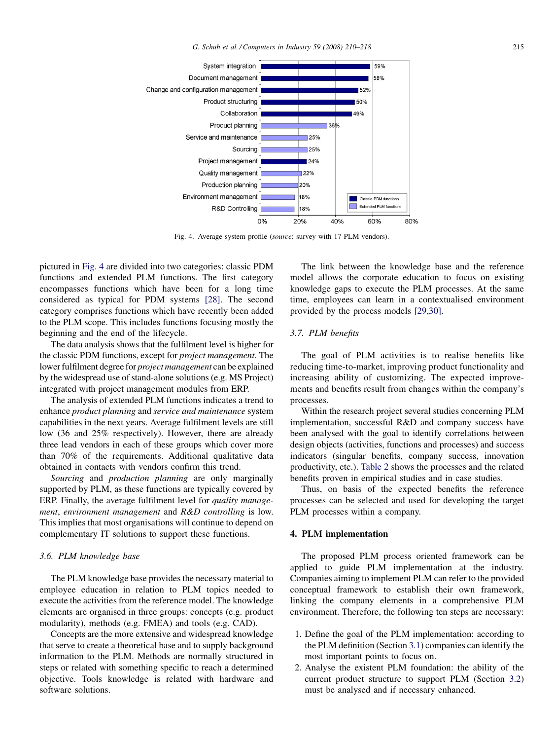<span id="page-5-0"></span>

Fig. 4. Average system profile (source: survey with 17 PLM vendors).

pictured in Fig. 4 are divided into two categories: classic PDM functions and extended PLM functions. The first category encompasses functions which have been for a long time considered as typical for PDM systems [\[28\].](#page-7-0) The second category comprises functions which have recently been added to the PLM scope. This includes functions focusing mostly the beginning and the end of the lifecycle.

The data analysis shows that the fulfilment level is higher for the classic PDM functions, except for project management. The lower fulfilment degree for project management can be explained by the widespread use of stand-alone solutions (e.g. MS Project) integrated with project management modules from ERP.

The analysis of extended PLM functions indicates a trend to enhance product planning and service and maintenance system capabilities in the next years. Average fulfilment levels are still low (36 and 25% respectively). However, there are already three lead vendors in each of these groups which cover more than 70% of the requirements. Additional qualitative data obtained in contacts with vendors confirm this trend.

Sourcing and *production planning* are only marginally supported by PLM, as these functions are typically covered by ERP. Finally, the average fulfilment level for *quality manage*ment, environment management and R&D controlling is low. This implies that most organisations will continue to depend on complementary IT solutions to support these functions.

# 3.6. PLM knowledge base

The PLM knowledge base provides the necessary material to employee education in relation to PLM topics needed to execute the activities from the reference model. The knowledge elements are organised in three groups: concepts (e.g. product modularity), methods (e.g. FMEA) and tools (e.g. CAD).

Concepts are the more extensive and widespread knowledge that serve to create a theoretical base and to supply background information to the PLM. Methods are normally structured in steps or related with something specific to reach a determined objective. Tools knowledge is related with hardware and software solutions.

The link between the knowledge base and the reference model allows the corporate education to focus on existing knowledge gaps to execute the PLM processes. At the same time, employees can learn in a contextualised environment provided by the process models [\[29,30\].](#page-7-0)

# 3.7. PLM benefits

The goal of PLM activities is to realise benefits like reducing time-to-market, improving product functionality and increasing ability of customizing. The expected improvements and benefits result from changes within the company's processes.

Within the research project several studies concerning PLM implementation, successful R&D and company success have been analysed with the goal to identify correlations between design objects (activities, functions and processes) and success indicators (singular benefits, company success, innovation productivity, etc.). [Table 2](#page-6-0) shows the processes and the related benefits proven in empirical studies and in case studies.

Thus, on basis of the expected benefits the reference processes can be selected and used for developing the target PLM processes within a company.

# 4. PLM implementation

The proposed PLM process oriented framework can be applied to guide PLM implementation at the industry. Companies aiming to implement PLM can refer to the provided conceptual framework to establish their own framework, linking the company elements in a comprehensive PLM environment. Therefore, the following ten steps are necessary:

- 1. Define the goal of the PLM implementation: according to the PLM definition (Section [3.1\)](#page-2-0) companies can identify the most important points to focus on.
- 2. Analyse the existent PLM foundation: the ability of the current product structure to support PLM (Section [3.2](#page-3-0)) must be analysed and if necessary enhanced.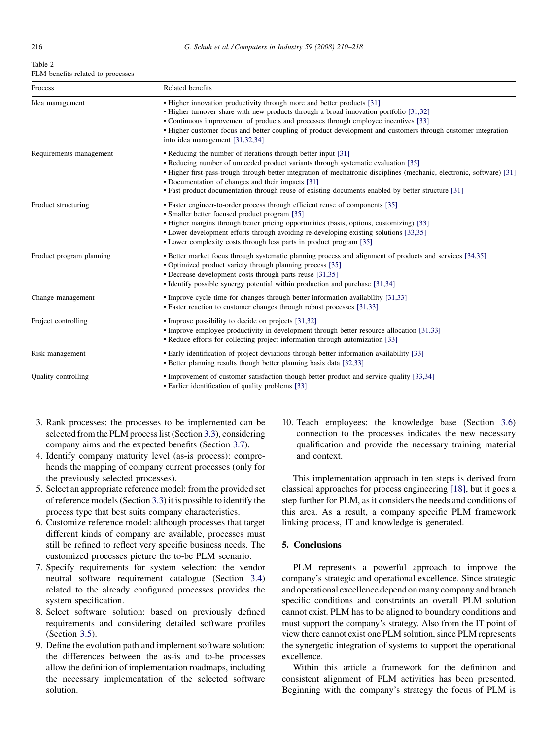<span id="page-6-0"></span>

| Table 2 |                                   |  |
|---------|-----------------------------------|--|
|         | PLM benefits related to processes |  |

| Process                  | Related benefits                                                                                                                                                                                                                                                                                                                                                                                                                       |  |
|--------------------------|----------------------------------------------------------------------------------------------------------------------------------------------------------------------------------------------------------------------------------------------------------------------------------------------------------------------------------------------------------------------------------------------------------------------------------------|--|
| Idea management          | • Higher innovation productivity through more and better products [31]<br>• Higher turnover share with new products through a broad innovation portfolio [31,32]<br>• Continuous improvement of products and processes through employee incentives [33]<br>• Higher customer focus and better coupling of product development and customers through customer integration<br>into idea management [31,32,34]                            |  |
| Requirements management  | • Reducing the number of iterations through better input [31]<br>• Reducing number of unneeded product variants through systematic evaluation [35]<br>• Higher first-pass-trough through better integration of mechatronic disciplines (mechanic, electronic, software) [31]<br>• Documentation of changes and their impacts [31]<br>• Fast product documentation through reuse of existing documents enabled by better structure [31] |  |
| Product structuring      | • Faster engineer-to-order process through efficient reuse of components [35]<br>• Smaller better focused product program [35]<br>• Higher margins through better pricing opportunities (basis, options, customizing) [33]<br>• Lower development efforts through avoiding re-developing existing solutions [33,35]<br>• Lower complexity costs through less parts in product program [35]                                             |  |
| Product program planning | • Better market focus through systematic planning process and alignment of products and services [34,35]<br>• Optimized product variety through planning process [35]<br>• Decrease development costs through parts reuse [31,35]<br>• Identify possible synergy potential within production and purchase [31,34]                                                                                                                      |  |
| Change management        | • Improve cycle time for changes through better information availability [31,33]<br>• Faster reaction to customer changes through robust processes [31,33]                                                                                                                                                                                                                                                                             |  |
| Project controlling      | • Improve possibility to decide on projects [31,32]<br>• Improve employee productivity in development through better resource allocation [31,33]<br>• Reduce efforts for collecting project information through automization [33]                                                                                                                                                                                                      |  |
| Risk management          | • Early identification of project deviations through better information availability [33]<br>• Better planning results though better planning basis data [32,33]                                                                                                                                                                                                                                                                       |  |
| Quality controlling      | • Improvement of customer satisfaction though better product and service quality [33,34]<br>• Earlier identification of quality problems [33]                                                                                                                                                                                                                                                                                          |  |

- 3. Rank processes: the processes to be implemented can be selected from the PLM process list (Section [3.3](#page-3-0)), considering company aims and the expected benefits (Section [3.7](#page-5-0)).
- 4. Identify company maturity level (as-is process): comprehends the mapping of company current processes (only for the previously selected processes).
- 5. Select an appropriate reference model: from the provided set of reference models (Section [3.3\)](#page-3-0) it is possible to identify the process type that best suits company characteristics.
- 6. Customize reference model: although processes that target different kinds of company are available, processes must still be refined to reflect very specific business needs. The customized processes picture the to-be PLM scenario.
- 7. Specify requirements for system selection: the vendor neutral software requirement catalogue (Section [3.4](#page-3-0)) related to the already configured processes provides the system specification.
- 8. Select software solution: based on previously defined requirements and considering detailed software profiles (Section [3.5\)](#page-4-0).
- 9. Define the evolution path and implement software solution: the differences between the as-is and to-be processes allow the definition of implementation roadmaps, including the necessary implementation of the selected software solution.

10. Teach employees: the knowledge base (Section [3.6](#page-5-0)) connection to the processes indicates the new necessary qualification and provide the necessary training material and context.

This implementation approach in ten steps is derived from classical approaches for process engineering [\[18\],](#page-7-0) but it goes a step further for PLM, as it considers the needs and conditions of this area. As a result, a company specific PLM framework linking process, IT and knowledge is generated.

# 5. Conclusions

PLM represents a powerful approach to improve the company's strategic and operational excellence. Since strategic and operational excellence depend on many company and branch specific conditions and constraints an overall PLM solution cannot exist. PLM has to be aligned to boundary conditions and must support the company's strategy. Also from the IT point of view there cannot exist one PLM solution, since PLM represents the synergetic integration of systems to support the operational excellence.

Within this article a framework for the definition and consistent alignment of PLM activities has been presented. Beginning with the company's strategy the focus of PLM is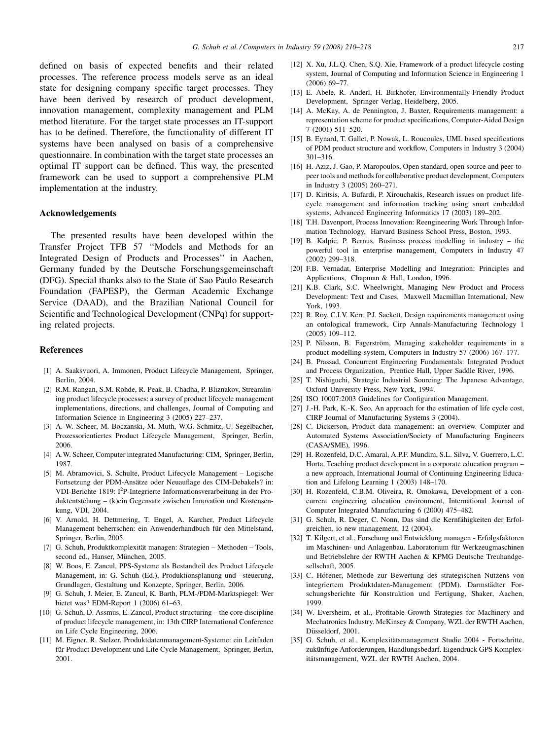<span id="page-7-0"></span>defined on basis of expected benefits and their related processes. The reference process models serve as an ideal state for designing company specific target processes. They have been derived by research of product development, innovation management, complexity management and PLM method literature. For the target state processes an IT-support has to be defined. Therefore, the functionality of different IT systems have been analysed on basis of a comprehensive questionnaire. In combination with the target state processes an optimal IT support can be defined. This way, the presented framework can be used to support a comprehensive PLM implementation at the industry.

# Acknowledgements

The presented results have been developed within the Transfer Project TFB 57 ''Models and Methods for an Integrated Design of Products and Processes'' in Aachen, Germany funded by the Deutsche Forschungsgemeinschaft (DFG). Special thanks also to the State of Sao Paulo Research Foundation (FAPESP), the German Academic Exchange Service (DAAD), and the Brazilian National Council for Scientific and Technological Development (CNPq) for supporting related projects.

### References

- [1] A. Saaksvuori, A. Immonen, Product Lifecycle Management, Springer, Berlin, 2004.
- [2] R.M. Rangan, S.M. Rohde, R. Peak, B. Chadha, P. Bliznakov, Streamlining product lifecycle processes: a survey of product lifecycle management implementations, directions, and challenges, Journal of Computing and Information Science in Engineering 3 (2005) 227–237.
- [3] A.-W. Scheer, M. Boczanski, M. Muth, W.G. Schmitz, U. Segelbacher, Prozessorientiertes Product Lifecycle Management, Springer, Berlin, 2006.
- [4] A.W. Scheer, Computer integrated Manufacturing: CIM, Springer, Berlin, 1987.
- [5] M. Abramovici, S. Schulte, Product Lifecycle Management Logische Fortsetzung der PDM-Ansätze oder Neuauflage des CIM-Debakels? in: VDI-Berichte 1819: I<sup>2</sup>P-Integrierte Informationsverarbeitung in der Produktentstehung – (k)ein Gegensatz zwischen Innovation und Kostensenkung, VDI, 2004.
- [6] V. Arnold, H. Dettmering, T. Engel, A. Karcher, Product Lifecycle Management beherrschen: ein Anwenderhandbuch für den Mittelstand, Springer, Berlin, 2005.
- [7] G. Schuh, Produktkomplexität managen: Strategien Methoden Tools, second ed., Hanser, München, 2005.
- [8] W. Boos, E. Zancul, PPS-Systeme als Bestandteil des Product Lifecycle Management, in: G. Schuh (Ed.), Produktionsplanung und –steuerung, Grundlagen, Gestaltung und Konzepte, Springer, Berlin, 2006.
- [9] G. Schuh, J. Meier, E. Zancul, K. Barth, PLM-/PDM-Marktspiegel: Wer bietet was? EDM-Report 1 (2006) 61–63.
- [10] G. Schuh, D. Assmus, E. Zancul, Product structuring the core discipline of product lifecycle management, in: 13th CIRP International Conference on Life Cycle Engineering, 2006.
- [11] M. Eigner, R. Stelzer, Produktdatenmanagement-Systeme: ein Leitfaden für Product Development und Life Cycle Management, Springer, Berlin, 2001.
- [12] X. Xu, J.L.Q. Chen, S.Q. Xie, Framework of a product lifecycle costing system, Journal of Computing and Information Science in Engineering 1 (2006) 69–77.
- [13] E. Abele, R. Anderl, H. Birkhofer, Environmentally-Friendly Product Development, Springer Verlag, Heidelberg, 2005.
- [14] A. McKay, A. de Pennington, J. Baxter, Requirements management: a representation scheme for product specifications, Computer-Aided Design 7 (2001) 511–520.
- [15] B. Eynard, T. Gallet, P. Nowak, L. Roucoules, UML based specifications of PDM product structure and workflow, Computers in Industry 3 (2004) 301–316.
- [16] H. Aziz, J. Gao, P. Maropoulos, Open standard, open source and peer-topeer tools and methods for collaborative product development, Computers in Industry 3 (2005) 260–271.
- [17] D. Kiritsis, A. Bufardi, P. Xirouchakis, Research issues on product lifecycle management and information tracking using smart embedded systems, Advanced Engineering Informatics 17 (2003) 189–202.
- [18] T.H. Davenport, Process Innovation: Reengineering Work Through Information Technology, Harvard Business School Press, Boston, 1993.
- [19] B. Kalpic, P. Bernus, Business process modelling in industry the powerful tool in enterprise management, Computers in Industry 47 (2002) 299–318.
- [20] F.B. Vernadat, Enterprise Modelling and Integration: Principles and Applications, Chapman & Hall, London, 1996.
- [21] K.B. Clark, S.C. Wheelwright, Managing New Product and Process Development: Text and Cases, Maxwell Macmillan International, New York, 1993.
- [22] R. Roy, C.I.V. Kerr, P.J. Sackett, Design requirements management using an ontological framework, Cirp Annals-Manufacturing Technology 1 (2005) 109–112.
- [23] P. Nilsson, B. Fagerström, Managing stakeholder requirements in a product modelling system, Computers in Industry 57 (2006) 167–177.
- [24] B. Prassad, Concurrent Engineering Fundamentals: Integrated Product and Process Organization, Prentice Hall, Upper Saddle River, 1996.
- [25] T. Nishiguchi, Strategic Industrial Sourcing: The Japanese Advantage, Oxford University Press, New York, 1994.
- [26] ISO 10007:2003 Guidelines for Configuration Management.
- [27] J.-H. Park, K.-K. Seo, An approach for the estimation of life cycle cost, CIRP Journal of Manufacturing Systems 3 (2004).
- [28] C. Dickerson, Product data management: an overview. Computer and Automated Systems Association/Society of Manufacturing Engineers (CASA/SME), 1996.
- [29] H. Rozenfeld, D.C. Amaral, A.P.F. Mundim, S.L. Silva, V. Guerrero, L.C. Horta, Teaching product development in a corporate education program – a new approach, International Journal of Continuing Engineering Education and Lifelong Learning 1 (2003) 148–170.
- [30] H. Rozenfeld, C.B.M. Oliveira, R. Omokawa, Development of a concurrent engineering education environment, International Journal of Computer Integrated Manufacturing 6 (2000) 475–482.
- [31] G. Schuh, R. Deger, C. Nonn, Das sind die Kernfähigkeiten der Erfolgreichen, io new management, 12 (2004).
- [32] T. Kilgert, et al., Forschung und Entwicklung managen Erfolgsfaktoren im Maschinen- und Anlagenbau. Laboratorium für Werkzeugmaschinen und Betriebslehre der RWTH Aachen & KPMG Deutsche Treuhandgesellschaft, 2005.
- [33] C. Höfener, Methode zur Bewertung des strategischen Nutzens von integriertem Produktdaten-Management (PDM). Darmstädter Forschungsberichte für Konstruktion und Fertigung, Shaker, Aachen, 1999.
- [34] W. Eversheim, et al., Profitable Growth Strategies for Machinery and Mechatronics Industry. McKinsey & Company, WZL der RWTH Aachen, Düsseldorf, 2001.
- [35] G. Schuh, et al., Komplexitätsmanagement Studie 2004 Fortschritte, zukünftige Anforderungen, Handlungsbedarf. Eigendruck GPS Komplexitätsmanagement, WZL der RWTH Aachen, 2004.